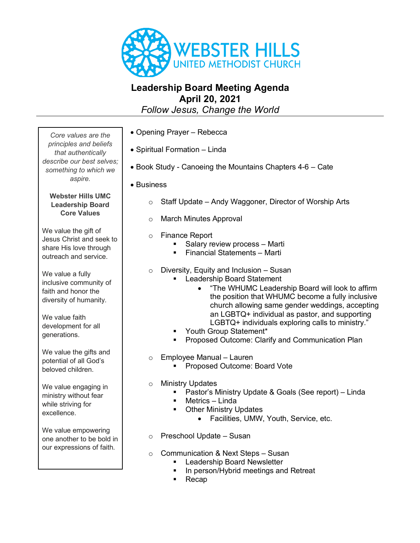

## **Leadership Board Meeting Agenda April 20, 2021**

*Follow Jesus, Change the World*

*Core values are the principles and beliefs that authentically describe our best selves; something to which we aspire.*

## **Webster Hills UMC Leadership Board Core Values**

We value the gift of Jesus Christ and seek to share His love through outreach and service.

We value a fully inclusive community of faith and honor the diversity of humanity.

We value faith development for all generations.

We value the gifts and potential of all God's beloved children.

We value engaging in ministry without fear while striving for excellence.

We value empowering one another to be bold in our expressions of faith.

- Opening Prayer Rebecca
- Spiritual Formation Linda
- Book Study Canoeing the Mountains Chapters 4-6 Cate
- Business
	- o Staff Update Andy Waggoner, Director of Worship Arts
	- o March Minutes Approval
	- o Finance Report
		- § Salary review process Marti
		- § Financial Statements Marti
	- $\circ$  Diversity, Equity and Inclusion Susan
		- Leadership Board Statement
			- "The WHUMC Leadership Board will look to affirm the position that WHUMC become a fully inclusive church allowing same gender weddings, accepting an LGBTQ+ individual as pastor, and supporting LGBTQ+ individuals exploring calls to ministry."
			- Youth Group Statement\*
			- § Proposed Outcome: Clarify and Communication Plan
	- o Employee Manual Lauren
		- Proposed Outcome: Board Vote
	- o Ministry Updates
		- Pastor's Ministry Update & Goals (See report) Linda
		- § Metrics Linda
		- Other Ministry Updates
			- Facilities, UMW, Youth, Service, etc.
	- o Preschool Update Susan
	- o Communication & Next Steps Susan
		- § Leadership Board Newsletter
		- In person/Hybrid meetings and Retreat
		- § Recap